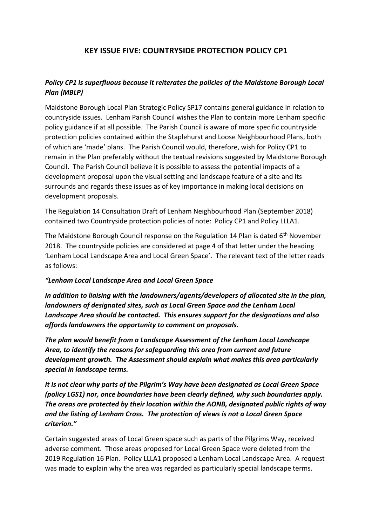## **KEY ISSUE FIVE: COUNTRYSIDE PROTECTION POLICY CP1**

## *Policy CP1 is superfluous because it reiterates the policies of the Maidstone Borough Local Plan (MBLP)*

Maidstone Borough Local Plan Strategic Policy SP17 contains general guidance in relation to countryside issues. Lenham Parish Council wishes the Plan to contain more Lenham specific policy guidance if at all possible. The Parish Council is aware of more specific countryside protection policies contained within the Staplehurst and Loose Neighbourhood Plans, both of which are 'made' plans. The Parish Council would, therefore, wish for Policy CP1 to remain in the Plan preferably without the textual revisions suggested by Maidstone Borough Council. The Parish Council believe it is possible to assess the potential impacts of a development proposal upon the visual setting and landscape feature of a site and its surrounds and regards these issues as of key importance in making local decisions on development proposals.

The Regulation 14 Consultation Draft of Lenham Neighbourhood Plan (September 2018) contained two Countryside protection policies of note: Policy CP1 and Policy LLLA1.

The Maidstone Borough Council response on the Regulation 14 Plan is dated  $6<sup>th</sup>$  November 2018. The countryside policies are considered at page 4 of that letter under the heading 'Lenham Local Landscape Area and Local Green Space'. The relevant text of the letter reads as follows:

## *"Lenham Local Landscape Area and Local Green Space*

*In addition to liaising with the landowners/agents/developers of allocated site in the plan, landowners of designated sites, such as Local Green Space and the Lenham Local Landscape Area should be contacted. This ensures support for the designations and also affords landowners the opportunity to comment on proposals.*

*The plan would benefit from a Landscape Assessment of the Lenham Local Landscape Area, to identify the reasons for safeguarding this area from current and future development growth. The Assessment should explain what makes this area particularly special in landscape terms.*

*It is not clear why parts of the Pilgrim's Way have been designated as Local Green Space (policy LGS1) nor, once boundaries have been clearly defined, why such boundaries apply. The areas are protected by their location within the AONB, designated public rights of way and the listing of Lenham Cross. The protection of views is not a Local Green Space criterion."*

Certain suggested areas of Local Green space such as parts of the Pilgrims Way, received adverse comment. Those areas proposed for Local Green Space were deleted from the 2019 Regulation 16 Plan. Policy LLLA1 proposed a Lenham Local Landscape Area. A request was made to explain why the area was regarded as particularly special landscape terms.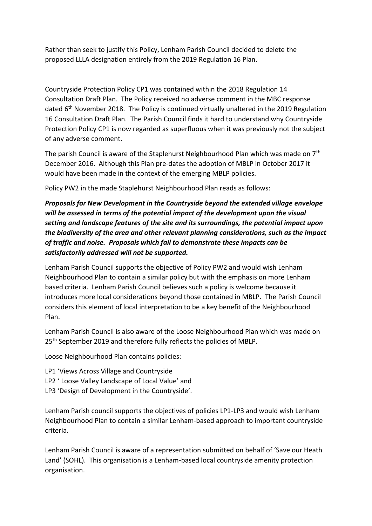Rather than seek to justify this Policy, Lenham Parish Council decided to delete the proposed LLLA designation entirely from the 2019 Regulation 16 Plan.

Countryside Protection Policy CP1 was contained within the 2018 Regulation 14 Consultation Draft Plan. The Policy received no adverse comment in the MBC response dated 6<sup>th</sup> November 2018. The Policy is continued virtually unaltered in the 2019 Regulation 16 Consultation Draft Plan. The Parish Council finds it hard to understand why Countryside Protection Policy CP1 is now regarded as superfluous when it was previously not the subject of any adverse comment.

The parish Council is aware of the Staplehurst Neighbourhood Plan which was made on 7<sup>th</sup> December 2016. Although this Plan pre-dates the adoption of MBLP in October 2017 it would have been made in the context of the emerging MBLP policies.

Policy PW2 in the made Staplehurst Neighbourhood Plan reads as follows:

*Proposals for New Development in the Countryside beyond the extended village envelope will be assessed in terms of the potential impact of the development upon the visual setting and landscape features of the site and its surroundings, the potential impact upon the biodiversity of the area and other relevant planning considerations, such as the impact of traffic and noise. Proposals which fail to demonstrate these impacts can be satisfactorily addressed will not be supported.*

Lenham Parish Council supports the objective of Policy PW2 and would wish Lenham Neighbourhood Plan to contain a similar policy but with the emphasis on more Lenham based criteria. Lenham Parish Council believes such a policy is welcome because it introduces more local considerations beyond those contained in MBLP. The Parish Council considers this element of local interpretation to be a key benefit of the Neighbourhood Plan.

Lenham Parish Council is also aware of the Loose Neighbourhood Plan which was made on 25<sup>th</sup> September 2019 and therefore fully reflects the policies of MBLP.

Loose Neighbourhood Plan contains policies:

- LP1 'Views Across Village and Countryside
- LP2 ' Loose Valley Landscape of Local Value' and
- LP3 'Design of Development in the Countryside'.

Lenham Parish council supports the objectives of policies LP1-LP3 and would wish Lenham Neighbourhood Plan to contain a similar Lenham-based approach to important countryside criteria.

Lenham Parish Council is aware of a representation submitted on behalf of 'Save our Heath Land' (SOHL). This organisation is a Lenham-based local countryside amenity protection organisation.